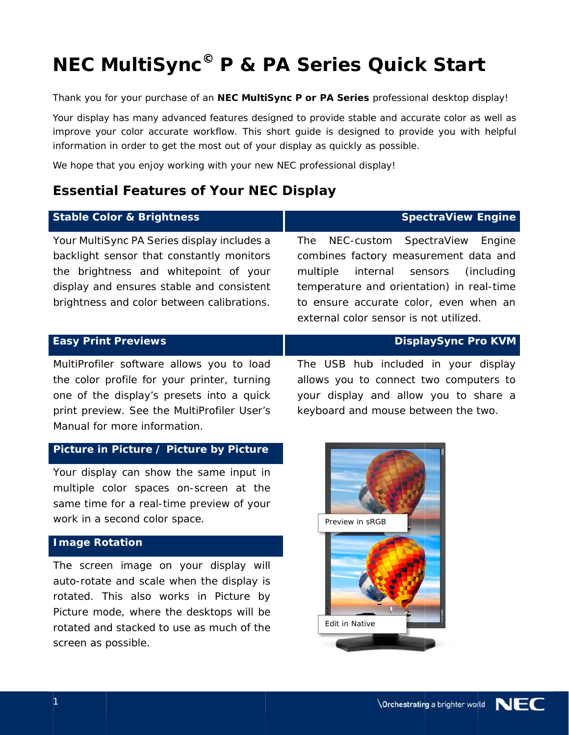# **NEC MultiSync<sup>©</sup> P & PA Series Quick Start**

#### **Essential Features of Your NEC Display**

| <b>NEC MultiSync<sup>®</sup> P &amp; PA Series Quick Start</b>                                                                                                                                                                                                                                              |                                                                                                                                                                                                                                                                  |
|-------------------------------------------------------------------------------------------------------------------------------------------------------------------------------------------------------------------------------------------------------------------------------------------------------------|------------------------------------------------------------------------------------------------------------------------------------------------------------------------------------------------------------------------------------------------------------------|
| Thank you for your purchase of an NEC MultiSync P or PA Series professional desktop display!<br>information in order to get the most out of your display as quickly as possible.<br>We hope that you enjoy working with your new NEC professional display!<br><b>Essential Features of Your NEC Display</b> | Your display has many advanced features designed to provide stable and accurate color as well as<br>improve your color accurate workflow. This short guide is designed to provide you with helpful                                                               |
| <b>Stable Color &amp; Brightness</b>                                                                                                                                                                                                                                                                        | <b>SpectraView Engine</b>                                                                                                                                                                                                                                        |
| Your MultiSync PA Series display includes a<br>backlight sensor that constantly monitors<br>the brightness and whitepoint of your<br>display and ensures stable and consistent<br>brightness and color between calibrations.                                                                                | NEC-custom SpectraView Engine<br>The<br>combines factory measurement data and<br>internal<br>multiple<br>sensors<br>(including)<br>temperature and orientation) in real-time<br>to ensure accurate color, even when an<br>external color sensor is not utilized. |
| <b>Easy Print Previews</b>                                                                                                                                                                                                                                                                                  | <b>DisplaySync Pro KVM</b>                                                                                                                                                                                                                                       |
| MultiProfiler software allows you to load<br>the color profile for your printer, turning<br>one of the display's presets into a quick<br>print preview. See the MultiProfiler User's<br>Manual for more information.                                                                                        | The USB hub included in your display<br>allows you to connect two computers to<br>your display and allow you to share a<br>keyboard and mouse between the two.                                                                                                   |
| Picture in Picture / Picture by Picture                                                                                                                                                                                                                                                                     |                                                                                                                                                                                                                                                                  |
| Your display can show the same input in<br>multiple color spaces on-screen at the<br>same time for a real-time preview of your<br>work in a second color space.                                                                                                                                             | Preview in sRGB                                                                                                                                                                                                                                                  |
| <b>Image Rotation</b>                                                                                                                                                                                                                                                                                       |                                                                                                                                                                                                                                                                  |
| The screen image on your display will<br>auto-rotate and scale when the display is<br>rotated. This also works in Picture by<br>Picture mode, where the desktops will be                                                                                                                                    |                                                                                                                                                                                                                                                                  |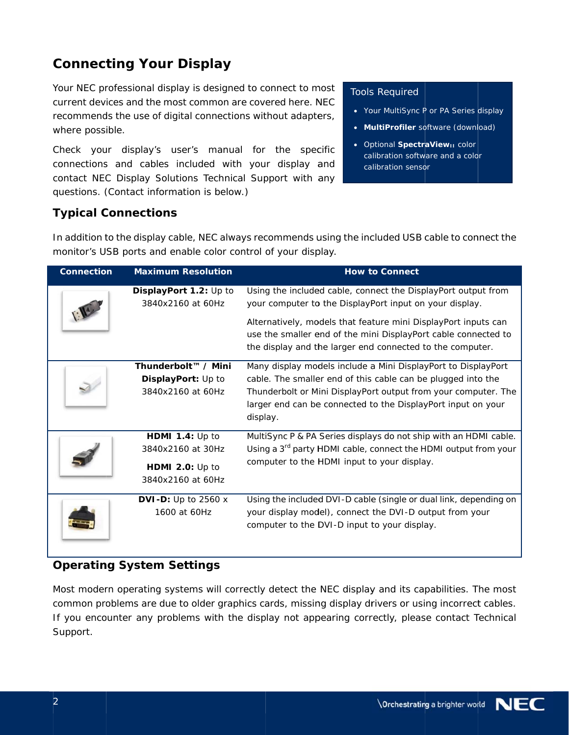## **Connecting Your Display**

Your NEC professional display is designed to connect to most current devices and the most common are covered here. NEC recommends the use of digital connections without adapters, where possible.

Check your display's user's manual for the specific connections and cables included with your display and contact NEC Display Solutions Technical Support with any questions. (Contact information is below.)

#### **Tools Required**

- Your MultiSync P or PA Series display
- MultiProfiler software (download)
- Optional SpectraView<sub>11</sub> color calibration software and a color calibration sensor

#### **Typical Connections**

In addition to the display cable, NEC always recommends using the included USB cable to connect the monitor's USB ports and enable color control of your display.

| <b>Connection</b> | <b>Maximum Resolution</b>                                                           | <b>How to Connect</b>                                                                                                                                                                                                                                                       |
|-------------------|-------------------------------------------------------------------------------------|-----------------------------------------------------------------------------------------------------------------------------------------------------------------------------------------------------------------------------------------------------------------------------|
|                   | DisplayPort 1.2: Up to<br>3840x2160 at 60Hz                                         | Using the included cable, connect the DisplayPort output from<br>your computer to the DisplayPort input on your display.                                                                                                                                                    |
|                   |                                                                                     | Alternatively, models that feature mini DisplayPort inputs can<br>use the smaller end of the mini DisplayPort cable connected to<br>the display and the larger end connected to the computer.                                                                               |
|                   | Thunderbolt™ / Mini<br>DisplayPort: Up to<br>3840x2160 at 60Hz                      | Many display models include a Mini DisplayPort to DisplayPort<br>cable. The smaller end of this cable can be plugged into the<br>Thunderbolt or Mini DisplayPort output from your computer. The<br>larger end can be connected to the DisplayPort input on your<br>display. |
|                   | <b>HDMI 1.4:</b> Up to<br>3840x2160 at 30Hz<br>HDMI 2.0: Up to<br>3840x2160 at 60Hz | MultiSync P & PA Series displays do not ship with an HDMI cable.<br>Using a 3 <sup>rd</sup> party HDMI cable, connect the HDMI output from your<br>computer to the HDMI input to your display.                                                                              |
|                   | DVI-D: Up to $2560x$<br>1600 at 60Hz                                                | Using the included DVI-D cable (single or dual link, depending on<br>your display model), connect the DVI-D output from your<br>computer to the DVI-D input to your display.                                                                                                |

#### **Operating System Settings**

Most modern operating systems will correctly detect the NEC display and its capabilities. The most common problems are due to older graphics cards, missing display drivers or using incorrect cables. If you encounter any problems with the display not appearing correctly, please contact Technical Support.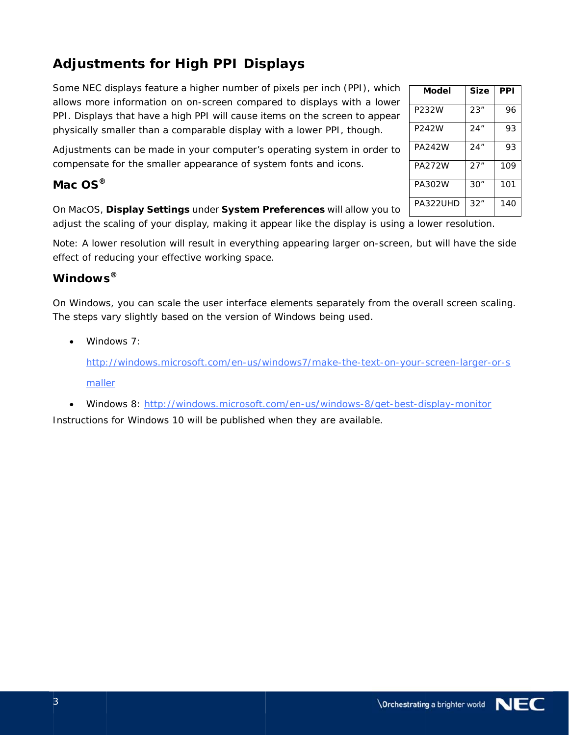# **Adjustments for High PPI Displays**

Some NEC displays feature a higher number of pixels per inch (PPI), which allows more information on on-screen compared to displays with a lower PPI. Displays that have a high PPI will cause items on the screen to appear physically smaller than a comparable display with a lower PPI, though.

Adjustments can be made in your computer's operating system in order to compensate for the smaller appearance of system fonts and icons.

#### Mac  $OS^{\circ}$

#### On MacOS, Display Settings under System Preferences will allow you to

adjust the scaling of your display, making it appear like the display is using a lower resolution.

Note: A lower resolution will result in everything appearing larger on-screen, but will have the side effect of reducing your effective working space.

#### Windows®

On Windows, you can scale the user interface elements separately from the overall screen scaling. The steps vary slightly based on the version of Windows being used.

Windows  $7$ 

http://windows.microsoft.com/en-us/windows7/make-the-text-on-your-screen-larger-or-s maller

• Windows 8: http://windows.microsoft.com/en-us/windows-8/get-best-display-monitor

Instructions for Windows 10 will be published when they are available.

| Model    | <b>Size</b> | PPI |
|----------|-------------|-----|
| P232W    | 23"         | 96  |
| P242W    | 24"         | 93  |
| PA242W   | 24"         | 93  |
| PA272W   | 27"         | 109 |
| PA302W   | 30"         | 101 |
| PA322UHD | 32"         | 140 |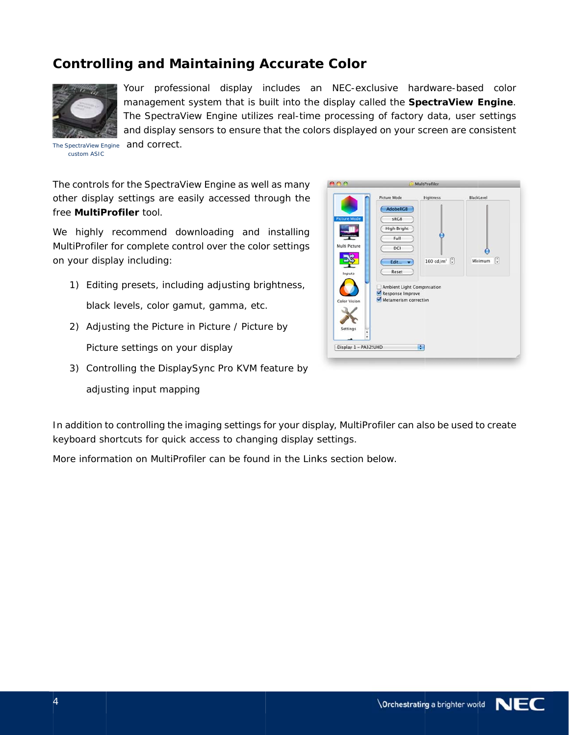## **Controlling and Maintaining Accurate Color**



custom ASIC

Your professional display includes an NEC-exclusive hardware-based color management system that is built into the display called the SpectraView Engine. The SpectraView Engine utilizes real-time processing of factory data, user settings and display sensors to ensure that the colors displayed on your screen are consistent and correct.

The controls for the SpectraView Engine as well as many other display settings are easily accessed through the free MultiProfiler tool.

We highly recommend downloading and installing MultiProfiler for complete control over the color settings on your display including:

1) Editing presets, including adjusting brightness,

black levels, color gamut, gamma, etc.

- 2) Adjusting the Picture in Picture / Picture by Picture settings on your display
- 3) Controlling the DisplaySync Pro KVM feature by
	- adjusting input mapping



In addition to controlling the imaging settings for your display, MultiProfiler can also be used to create keyboard shortcuts for quick access to changing display settings.

More information on MultiProfiler can be found in the Links section below.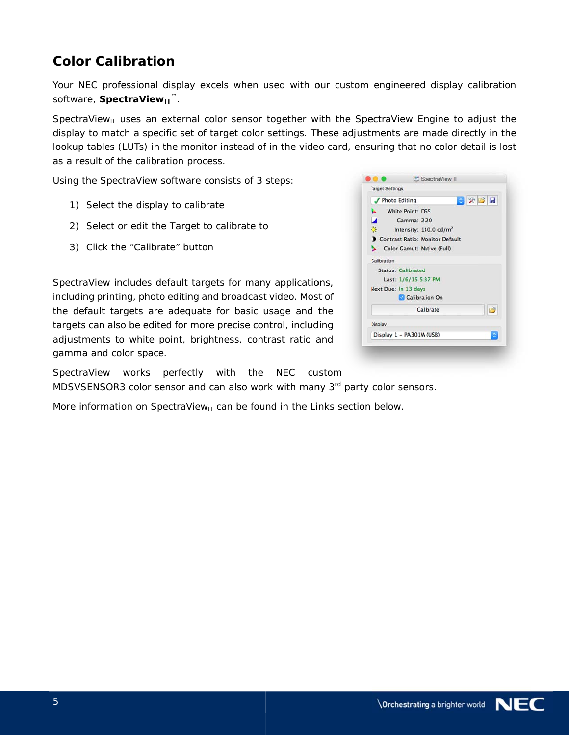## **Color Calibration**

Your NEC professional display excels when used with our custom engineered display calibration software, SpectraView<sub>II</sub><sup>™</sup>.

SpectraView<sub>u</sub> uses an external color sensor together with the SpectraView Engine to adjust the display to match a specific set of target color settings. These adjustments are made directly in the lookup tables (LUTs) in the monitor instead of in the video card, ensuring that no color detail is lost as a result of the calibration process.

Using the SpectraView software consists of 3 steps:

- 1) Select the display to calibrate
- 2) Select or edit the Target to calibrate to
- 3) Click the "Calibrate" button

SpectraView includes default targets for many applications, including printing, photo editing and broadcast video. Most of the default targets are adequate for basic usage and the targets can also be edited for more precise control, including adjustments to white point, brightness, contrast ratio and gamma and color space.

|                | <b>Photo Editing</b>      |                                          | 日次日日 |   |
|----------------|---------------------------|------------------------------------------|------|---|
|                |                           |                                          |      |   |
| a.             | White Point: D65          |                                          |      |   |
| M              |                           | Gamma: 2.20                              |      |   |
| $\alpha$       |                           | Intensity: 140.0 cd/m <sup>2</sup>       |      |   |
|                |                           | <b>O</b> Contrast Ratio: Monitor Default |      |   |
| ь              |                           | Color Gamut: Native (Full)               |      |   |
| Calibration    |                           |                                          |      |   |
|                | <b>Status: Calibrated</b> |                                          |      |   |
|                |                           | Last: 1/6/15 5:37 PM                     |      |   |
|                | Next Due: In 13 days      |                                          |      |   |
|                |                           | Calibration On                           |      |   |
|                |                           | Calibrate                                |      | 8 |
| <b>Display</b> |                           |                                          |      |   |
|                |                           | Display 1 - PA301W (USB)                 |      | ٥ |

SpectraView works perfectly with the NEC custom MDSVSENSOR3 color sensor and can also work with many 3rd party color sensors.

More information on SpectraView<sub>11</sub> can be found in the Links section below.